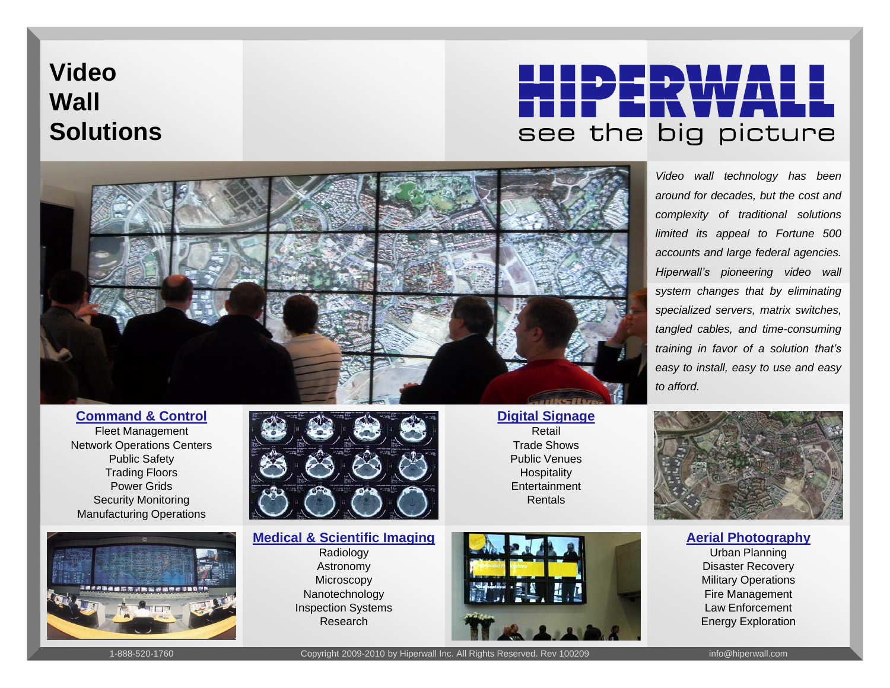## **Video Wall Solutions**

# see the big picture



**Command & Control**

Fleet Management Network Operations Centers Public Safety Trading Floors Power Grids Security Monitoring Manufacturing Operations





#### **Medical & Scientific Imaging**

Radiology Astronomy **Microscopy** Nanotechnology Inspection Systems Research



**Digital Signage** Retail Trade Shows Public Venues **Hospitality Entertainment** Rentals

*Video wall technology has been around for decades, but the cost and complexity of traditional solutions limited its appeal to Fortune 500 accounts and large federal agencies. Hiperwall's pioneering video wall system changes that by eliminating specialized servers, matrix switches, tangled cables, and time-consuming training in favor of a solution that's easy to install, easy to use and easy to afford.*



**Aerial Photography**

Urban Planning Disaster Recovery Military Operations Fire Management Law Enforcement Energy Exploration

1-888-520-1760 Copyright 2009-2010 by Hiperwall Inc. All Rights Reserved. Rev 100209 info@hiperwall.com